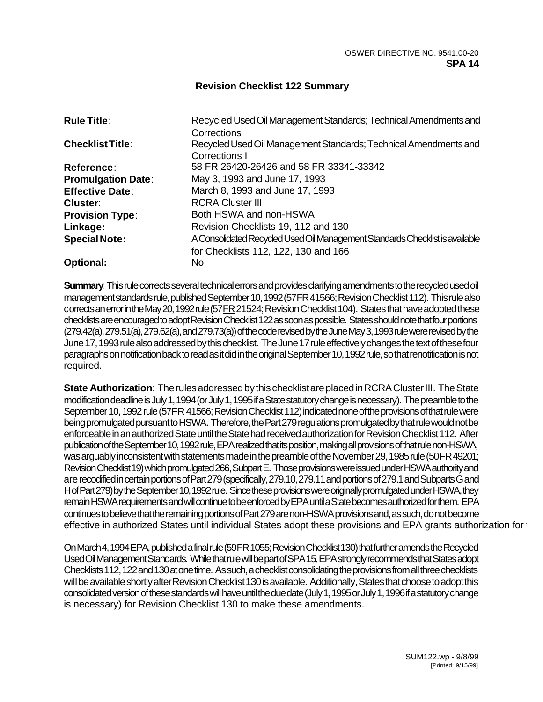## **Revision Checklist 122 Summary**

| <b>Rule Title:</b>        | Recycled Used Oil Management Standards; Technical Amendments and<br>Corrections   |
|---------------------------|-----------------------------------------------------------------------------------|
| <b>Checklist Title:</b>   | Recycled Used Oil Management Standards; Technical Amendments and<br>Corrections I |
| <b>Reference:</b>         | 58 FR 26420-26426 and 58 FR 33341-33342                                           |
| <b>Promulgation Date:</b> | May 3, 1993 and June 17, 1993                                                     |
| <b>Effective Date:</b>    | March 8, 1993 and June 17, 1993                                                   |
| Cluster:                  | <b>RCRA Cluster III</b>                                                           |
| <b>Provision Type:</b>    | Both HSWA and non-HSWA                                                            |
| Linkage:                  | Revision Checklists 19, 112 and 130                                               |
| <b>Special Note:</b>      | A Consolidated Recycled Used Oil Management Standards Checklist is available      |
|                           | for Checklists 112, 122, 130 and 166                                              |
| <b>Optional:</b>          | No                                                                                |

**Summary**: This rule corrects several technical errors and provides clarifying amendments to the recycled used oil management standards rule, published September 10, 1992 (57 FR 41566; Revision Checklist 112). This rule also corrects an error in the May 20, 1992 rule (57 FR 21524; Revision Checklist 104). States that have adopted these checklists are encouraged to adopt Revision Checklist 122 as soon as possible. States should note that four portions (279.42(a), 279.51(a), 279.62(a), and 279.73(a)) of the code revised by the June May 3, 1993 rule were revised by the June 17, 1993 rule also addressed by this checklist. The June 17 rule effectively changes the text of these four paragraphs on notification back to read as it did in the original September 10, 1992 rule, so that renotification is not required.

**State Authorization**: The rules addressed by this checklist are placed in RCRA Cluster III. The State modification deadline is July 1, 1994 (or July 1, 1995 if a State statutory change is necessary). The preamble to the September 10, 1992 rule (57 FR 41566; Revision Checklist 112) indicated none of the provisions of that rule were being promulgated pursuant to HSWA. Therefore, the Part 279 regulations promulgated by that rule would not be enforceable in an authorized State until the State had received authorization for Revision Checklist 112. After publication of the September 10, 1992 rule, EPA realized that its position, making all provisions of that rule non-HSWA, was arguably inconsistent with statements made in the preamble of the November 29, 1985 rule (50 FR 49201; Revision Checklist 19) which promulgated 266, Subpart E. Those provisions were issued under HSWA authority and are recodified in certain portions of Part 279 (specifically, 279.10, 279.11 and portions of 279.1 and Subparts G and H of Part 279) by the September 10, 1992 rule. Since these provisions were originally promulgated under HSWA, they remain HSWA requirements and will continue to be enforced by EPA until a State becomes authorized for them. EPA continues to believe that the remaining portions of Part 279 are non-HSWA provisions and, as such, do not become effective in authorized States until individual States adopt these provisions and EPA grants authorization for

On March 4, 1994 EPA, published a final rule (59 FR 1055; Revision Checklist 130) that further amends the Recycled Used Oil Management Standards. While that rule will be part of SPA 15, EPA strongly recommends that States adopt Checklists 112, 122 and 130 at one time. As such, a checklist consolidating the provisions from all three checklists will be available shortly after Revision Checklist 130 is available. Additionally, States that choose to adopt this consolidated version of these standards will have until the due date (July 1, 1995 or July 1, 1996 if a statutory change is necessary) for Revision Checklist 130 to make these amendments.